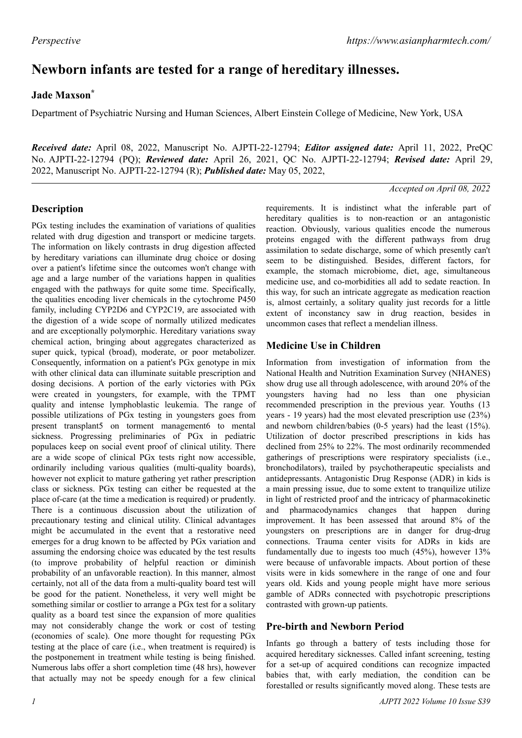# **Newborn infants are tested for a range of hereditary illnesses.**

## **Jade Maxson\***

Department of Psychiatric Nursing and Human Sciences, Albert Einstein College of Medicine, New York, USA

*Received date:* April 08, 2022, Manuscript No. AJPTI-22-12794; *Editor assigned date:* April 11, 2022, PreQC No. AJPTI-22-12794 (PQ); *Reviewed date:* April 26, 2021, QC No. AJPTI-22-12794; *Revised date:* April 29, 2022, Manuscript No. AJPTI-22-12794 (R); *Published date:* May 05, 2022,

#### *Accepted on April 08, 2022*

## **Description**

PGx testing includes the examination of variations of qualities related with drug digestion and transport or medicine targets. The information on likely contrasts in drug digestion affected by hereditary variations can illuminate drug choice or dosing over a patient's lifetime since the outcomes won't change with age and a large number of the variations happen in qualities engaged with the pathways for quite some time. Specifically, the qualities encoding liver chemicals in the cytochrome P450 family, including CYP2D6 and CYP2C19, are associated with the digestion of a wide scope of normally utilized medicates and are exceptionally polymorphic. Hereditary variations sway chemical action, bringing about aggregates characterized as super quick, typical (broad), moderate, or poor metabolizer. Consequently, information on a patient's PGx genotype in mix with other clinical data can illuminate suitable prescription and dosing decisions. A portion of the early victories with PGx were created in youngsters, for example, with the TPMT quality and intense lymphoblastic leukemia. The range of possible utilizations of PGx testing in youngsters goes from present transplant5 on torment management6 to mental sickness. Progressing preliminaries of PGx in pediatric populaces keep on social event proof of clinical utility. There are a wide scope of clinical PGx tests right now accessible, ordinarily including various qualities (multi-quality boards), however not explicit to mature gathering yet rather prescription class or sickness. PGx testing can either be requested at the place of-care (at the time a medication is required) or prudently. There is a continuous discussion about the utilization of precautionary testing and clinical utility. Clinical advantages might be accumulated in the event that a restorative need emerges for a drug known to be affected by PGx variation and assuming the endorsing choice was educated by the test results (to improve probability of helpful reaction or diminish probability of an unfavorable reaction). In this manner, almost certainly, not all of the data from a multi-quality board test will be good for the patient. Nonetheless, it very well might be something similar or costlier to arrange a PGx test for a solitary quality as a board test since the expansion of more qualities may not considerably change the work or cost of testing (economies of scale). One more thought for requesting PGx testing at the place of care (i.e., when treatment is required) is the postponement in treatment while testing is being finished. Numerous labs offer a short completion time (48 hrs), however that actually may not be speedy enough for a few clinical

requirements. It is indistinct what the inferable part of hereditary qualities is to non-reaction or an antagonistic reaction. Obviously, various qualities encode the numerous proteins engaged with the different pathways from drug assimilation to sedate discharge, some of which presently can't seem to be distinguished. Besides, different factors, for example, the stomach microbiome, diet, age, simultaneous medicine use, and co-morbidities all add to sedate reaction. In this way, for such an intricate aggregate as medication reaction is, almost certainly, a solitary quality just records for a little extent of inconstancy saw in drug reaction, besides in uncommon cases that reflect a mendelian illness.

## **Medicine Use in Children**

Information from investigation of information from the National Health and Nutrition Examination Survey (NHANES) show drug use all through adolescence, with around 20% of the youngsters having had no less than one physician recommended prescription in the previous year. Youths (13 years - 19 years) had the most elevated prescription use (23%) and newborn children/babies (0-5 years) had the least (15%). Utilization of doctor prescribed prescriptions in kids has declined from 25% to 22%. The most ordinarily recommended gatherings of prescriptions were respiratory specialists (i.e., bronchodilators), trailed by psychotherapeutic specialists and antidepressants. Antagonistic Drug Response (ADR) in kids is a main pressing issue, due to some extent to tranquilize utilize in light of restricted proof and the intricacy of pharmacokinetic and pharmacodynamics changes that happen during improvement. It has been assessed that around 8% of the youngsters on prescriptions are in danger for drug-drug connections. Trauma center visits for ADRs in kids are fundamentally due to ingests too much (45%), however 13% were because of unfavorable impacts. About portion of these visits were in kids somewhere in the range of one and four years old. Kids and young people might have more serious gamble of ADRs connected with psychotropic prescriptions contrasted with grown-up patients.

#### **Pre-birth and Newborn Period**

Infants go through a battery of tests including those for acquired hereditary sicknesses. Called infant screening, testing for a set-up of acquired conditions can recognize impacted babies that, with early mediation, the condition can be forestalled or results significantly moved along. These tests are